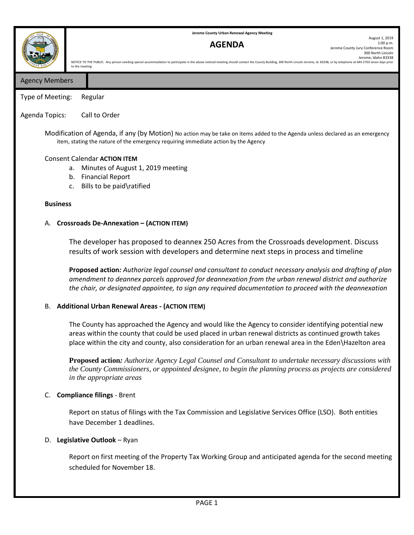**Jerome County Urban Renewal Agency Meeting**

## **AGENDA**

August 1, 2019 1:00 p.m. Jerome County Jury Conference Room 300 North Lincoln Jerome, Idaho 83338 NOTICE TO THE PUBLIC: Any person needing special accommodation to participate in the above-noticed meeting should contact the County Building, 300 North Lincoln Jerome, Id. 83338, or by telephone at 644-2703 seven days pri

Agency Members

12

Type of Meeting: Regular

## Agenda Topics: Call to Order

to the meeting.

Modification of Agenda, if any (by Motion) No action may be take on items added to the Agenda unless declared as an emergency item, stating the nature of the emergency requiring immediate action by the Agency

#### Consent Calendar **ACTION ITEM**

- a. Minutes of August 1, 2019 meeting
- b. Financial Report
- c. Bills to be paid\ratified

#### **Business**

#### A. **Crossroads De-Annexation – (ACTION ITEM)**

The developer has proposed to deannex 250 Acres from the Crossroads development. Discuss results of work session with developers and determine next steps in process and timeline

**Proposed action***: Authorize legal counsel and consultant to conduct necessary analysis and drafting of plan amendment to deannex parcels approved for deannexation from the urban renewal district and authorize the chair, or designated appointee, to sign any required documentation to proceed with the deannexation*

#### B. **Additional Urban Renewal Areas - (ACTION ITEM)**

The County has approached the Agency and would like the Agency to consider identifying potential new areas within the county that could be used placed in urban renewal districts as continued growth takes place within the city and county, also consideration for an urban renewal area in the Eden\Hazelton area

**Proposed action***: Authorize Agency Legal Counsel and Consultant to undertake necessary discussions with the County Commissioners, or appointed designee, to begin the planning process as projects are considered in the appropriate areas*

#### C. **Compliance filings** - Brent

Report on status of filings with the Tax Commission and Legislative Services Office (LSO). Both entities have December 1 deadlines.

#### D. **Legislative Outlook** – Ryan

Report on first meeting of the Property Tax Working Group and anticipated agenda for the second meeting scheduled for November 18.